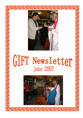

# GIFT Newsletter

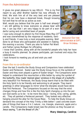### From the Administrator

It gives me great pleasure to say HELLO. This is my first report to you after Brother Gabriel has now officially retired. We wish him all of the very best and are pleased that he can now have a deserved break, though knowing full well that he will be as active as ever.

Well, would you believe that the year is half over already? I am still getting to know everyone so please bear with me. I can say that I am very happy to be part of a wonderful caring and committed team of people.

I was lucky enough to attend my first House Mass May 23rd and was overwhelmed by the response of residents, family and friends. It was truly a most enjoyable evening. Well done to all those who participated and assisted in making the evening a success. Thank you also to Father Pat Ward and Father James Mulligan for officiating.

Welcome! Our new administrator at GIFT, Brian Nicholas.

I know that Caroline, along with all the wonderful people who help her have a busy 6 months planned. So please participate, get involved and enjoy the celebrations.

I look forward to meeting you all and wish you well Brian

### From the re co-ordinator

Over the last 3 months the Study Group and Companions have celebrated Easter and Pentecost. Easter saw the Study Group focus on the symbols of Easter and they even played a game of Easter bingo! The Companions were helped to understand the resurrection a little better by using the symbol of the butterfly; they made 'stained glass' windows in the shape of a butterfly very beautiful! For Pentecost, the Study Group learnt that to be filled with the Holy Spirit is to be friendly and welcoming to all people. They learnt greetings in other languages to mirror what the disciples would have done that first Pentecost. The Companions focused on the way that the wind changes things and how this is like the Holy Spirit changing us into the person God wants us to be - to be more like Jesus – loving, kind, caring, gentle, etc. They all painted a Pentecost pennant. They looked very effective hanging around the altar for the house Mass . To help the Study Group understand the concept of the Holy Trinity a little better I used concrete examples of things that have a 3 in 1 nature ; ice, triangle, shamrock, apple and a candle. The Companions made bread (see the photos) as they focused on Jesus saying, "I am the Bread of Life."

### Many blessings, Caroline

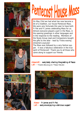



## Pentecost House Mass

On May 23rd we had what has now become a bit of a tradition, our house Pentecost Mass. We were very fortunate this year to have both Fr Pat and Fr James celebrating Mass for us. Almost everyone played a part in the Mass, in the opening greetings in other languages and in the response to the reading. Members of the Study Group read and Companions bought the gifts to the altar - lead by Trisha waving streamers joyously!

The Mass was followed by a very festive supper. It was a fabulous celebration in the true spirit of Pentecost! Thank you to all those who came along to support our friends.

Above left  $\sim$  everybody sharing the greeting of Peace Left ~ Trisha dancing to 'These Hands'.





Above  $\sim$  Fr James and Fr Pat. Left  $\sim$  everyone enjoying a delicious supper!